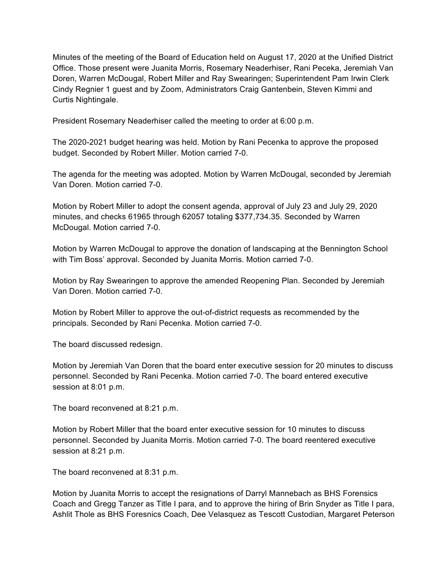Minutes of the meeting of the Board of Education held on August 17, 2020 at the Unified District Office. Those present were Juanita Morris, Rosemary Neaderhiser, Rani Peceka, Jeremiah Van Doren, Warren McDougal, Robert Miller and Ray Swearingen; Superintendent Pam Irwin Clerk Cindy Regnier 1 guest and by Zoom, Administrators Craig Gantenbein, Steven Kimmi and Curtis Nightingale.

President Rosemary Neaderhiser called the meeting to order at 6:00 p.m.

The 2020-2021 budget hearing was held. Motion by Rani Pecenka to approve the proposed budget. Seconded by Robert Miller. Motion carried 7-0.

The agenda for the meeting was adopted. Motion by Warren McDougal, seconded by Jeremiah Van Doren. Motion carried 7-0.

Motion by Robert Miller to adopt the consent agenda, approval of July 23 and July 29, 2020 minutes, and checks 61965 through 62057 totaling \$377,734.35. Seconded by Warren McDougal. Motion carried 7-0.

Motion by Warren McDougal to approve the donation of landscaping at the Bennington School with Tim Boss' approval. Seconded by Juanita Morris. Motion carried 7-0.

Motion by Ray Swearingen to approve the amended Reopening Plan. Seconded by Jeremiah Van Doren. Motion carried 7-0.

Motion by Robert Miller to approve the out-of-district requests as recommended by the principals. Seconded by Rani Pecenka. Motion carried 7-0.

The board discussed redesign.

Motion by Jeremiah Van Doren that the board enter executive session for 20 minutes to discuss personnel. Seconded by Rani Pecenka. Motion carried 7-0. The board entered executive session at 8:01 p.m.

The board reconvened at 8:21 p.m.

Motion by Robert Miller that the board enter executive session for 10 minutes to discuss personnel. Seconded by Juanita Morris. Motion carried 7-0. The board reentered executive session at 8:21 p.m.

The board reconvened at 8:31 p.m.

Motion by Juanita Morris to accept the resignations of Darryl Mannebach as BHS Forensics Coach and Gregg Tanzer as Title I para, and to approve the hiring of Brin Snyder as Title I para, Ashlit Thole as BHS Foresnics Coach, Dee Velasquez as Tescott Custodian, Margaret Peterson